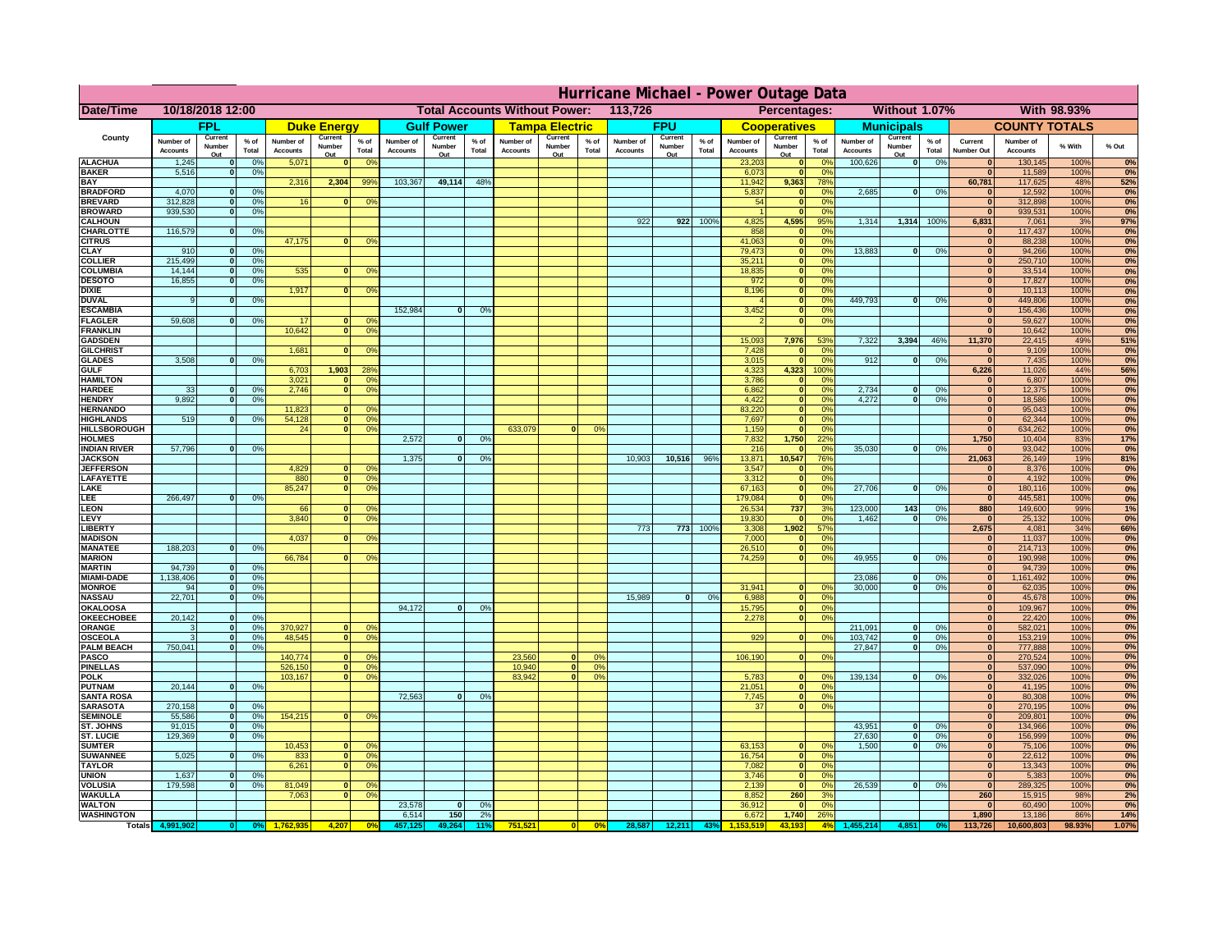|                                       | Hurricane Michael - Power Outage Data |                              |                                  |                              |                                                 |                                         |                              |                     |                 |                                                     |                       |                 |                              |                   |                 |                              |                              |                                  |                              |                                |                 |                              |                              |              |           |
|---------------------------------------|---------------------------------------|------------------------------|----------------------------------|------------------------------|-------------------------------------------------|-----------------------------------------|------------------------------|---------------------|-----------------|-----------------------------------------------------|-----------------------|-----------------|------------------------------|-------------------|-----------------|------------------------------|------------------------------|----------------------------------|------------------------------|--------------------------------|-----------------|------------------------------|------------------------------|--------------|-----------|
| Date/Time                             | 10/18/2018 12:00                      |                              |                                  |                              | <b>Total Accounts Without Power:</b><br>113,726 |                                         |                              |                     |                 | Without 1.07%<br><b>With 98.93%</b><br>Percentages: |                       |                 |                              |                   |                 |                              |                              |                                  |                              |                                |                 |                              |                              |              |           |
|                                       |                                       | <b>FPL</b>                   |                                  |                              | <b>Duke Energy</b>                              |                                         |                              | <b>Gulf Power</b>   |                 |                                                     | <b>Tampa Electric</b> |                 |                              | <b>FPU</b>        |                 |                              | <b>Cooperatives</b>          |                                  |                              | <b>Municipals</b>              |                 |                              | <b>COUNTY TOTALS</b>         |              |           |
| County                                | Number of<br><b>Accounts</b>          | Current<br>Number            | $%$ of<br>Total                  | Number of<br><b>Accounts</b> | Current<br>Number                               | $%$ of<br>Total                         | Number of<br><b>Accounts</b> | Current<br>Number   | $%$ of<br>Total | Number of<br><b>Accounts</b>                        | Current<br>Number     | $%$ of<br>Total | Number of<br><b>Accounts</b> | Current<br>Number | $%$ of<br>Total | Number of<br><b>Accounts</b> | Current<br>Number            | $%$ of<br>Total                  | Number of<br><b>Accounts</b> | Current<br>Number              | $%$ of<br>Total | Current<br><b>Number Out</b> | Number of<br><b>Accounts</b> | % With       | % Out     |
| <b>ALACHUA</b>                        | 1,245                                 | Out<br>$\mathbf{0}$          | 0%                               | 5,071                        | Out<br>$\mathbf{0}$                             | 0 <sup>9</sup>                          |                              | Out                 |                 |                                                     | Out                   |                 |                              | Out               |                 | 23,203                       | Out<br>$\mathbf{0}$          | $\Omega$ <sup>c</sup>            | 100,626                      | Out<br>$\overline{\mathbf{0}}$ | 0%              | $\bf{0}$                     | 130,145                      | 100%         | 0%        |
| <b>BAKER</b>                          | 5,516                                 | $\mathbf{0}$                 | 0%                               |                              |                                                 |                                         |                              |                     |                 |                                                     |                       |                 |                              |                   |                 | 6,073                        | $\mathbf{0}$                 | 0 <sup>9</sup>                   |                              |                                |                 | $\bf{0}$                     | 11,589                       | 100%         | 0%        |
| <b>BAY</b><br><b>BRADFORD</b>         | 4,070                                 | $\mathbf{0}$                 | 0%                               | 2,316                        | 2,304                                           | 99%                                     | 103,367                      | 49,114              | 48%             |                                                     |                       |                 |                              |                   |                 | 11,942<br>5,837              | 9,363<br>$\mathbf{0}$        | 78%<br>0 <sup>9</sup>            | 2,685                        | 0                              | 0%              | 60,781<br>$\bf{0}$           | 117,625<br>12,592            | 48%<br>100%  | 52%<br>0% |
| <b>BREVARD</b>                        | 312,828                               | $\mathbf{0}$                 | 0%                               | 16                           | $\mathbf{0}$                                    | 0 <sup>o</sup>                          |                              |                     |                 |                                                     |                       |                 |                              |                   |                 | 54                           | $\mathbf{0}$                 | 0 <sup>9</sup>                   |                              |                                |                 | $\bf{0}$                     | 312,898                      | 100%         | 0%        |
| <b>BROWARD</b>                        | 939.530                               | $\Omega$                     | 0%                               |                              |                                                 |                                         |                              |                     |                 |                                                     |                       |                 |                              |                   |                 |                              | $\Omega$                     | 0 <sup>9</sup>                   |                              |                                |                 | $\mathbf{0}$                 | 939,531                      | 100%         | 0%        |
| <b>CALHOUN</b><br>CHARLOTTE           | 116,579                               | $\mathbf{0}$                 | 0%                               |                              |                                                 |                                         |                              |                     |                 |                                                     |                       |                 | 922                          | 922               | 100%            | 4,825<br>858                 | 4,595                        | 95%<br>0%                        | 1,314                        | 1,314                          | 100%            | 6,831                        | 7,061<br>117,437             | 3%<br>100%   | 97%<br>0% |
| <b>CITRUS</b>                         |                                       |                              |                                  | 47,175                       | $\mathbf{0}$                                    | 0 <sup>o</sup>                          |                              |                     |                 |                                                     |                       |                 |                              |                   |                 | 41,063                       | $\mathbf{0}$                 | $\Omega$ <sup>c</sup>            |                              |                                |                 | $\mathbf 0$                  | 88,238                       | 100%         | 0%        |
| <b>CLAY</b>                           | 910                                   | $\mathbf{0}$                 | 0%                               |                              |                                                 |                                         |                              |                     |                 |                                                     |                       |                 |                              |                   |                 | 79,473                       | $\mathbf{0}$                 | 0 <sup>9</sup>                   | 13,883                       | 0                              | 0%              | $\mathbf{0}$                 | 94,266                       | 100%         | 0%        |
| <b>COLLIER</b><br><b>COLUMBIA</b>     | 215,499<br>14,144                     | $\mathbf{0}$<br>$\mathbf{0}$ | 0 <sup>9</sup><br>0 <sup>9</sup> | 535                          |                                                 | 0 <sup>9</sup>                          |                              |                     |                 |                                                     |                       |                 |                              |                   |                 | 35,211<br>18,835             | $\mathbf{0}$<br>$\mathbf{0}$ | 0 <sup>9</sup><br>0 <sup>9</sup> |                              |                                |                 | $\mathbf{0}$<br>$\bf{0}$     | 250,710<br>33,514            | 100%<br>100% | 0%<br>0%  |
| <b>DESOTO</b>                         | 16,855                                | $\mathbf{0}$                 | 0%                               |                              |                                                 |                                         |                              |                     |                 |                                                     |                       |                 |                              |                   |                 | 972                          | $\mathbf{0}$                 | 0 <sup>9</sup>                   |                              |                                |                 | $\bf{0}$                     | 17,827                       | 100%         | 0%        |
| <b>DIXIE</b><br><b>DUVAL</b>          | 9                                     | $\Omega$                     | 0%                               | 1,917                        | $\Omega$                                        | 0 <sup>9</sup>                          |                              |                     |                 |                                                     |                       |                 |                              |                   |                 | 8,196                        | $\mathbf{0}$<br>$\mathbf{0}$ | 0 <sup>9</sup><br>0 <sup>9</sup> | 449.793                      | $\mathbf{0}$                   | 0%              | $\bf{0}$<br>$\bf{0}$         | 10,113<br>449,806            | 100%<br>100% | 0%        |
| <b>ESCAMBIA</b>                       |                                       |                              |                                  |                              |                                                 |                                         | 152,984                      | $\Omega$            | 0%              |                                                     |                       |                 |                              |                   |                 | 3,452                        | $\mathbf{0}$                 | 0%                               |                              |                                |                 | $\bf{0}$                     | 156,436                      | 100%         | 0%<br>0%  |
| <b>FLAGLER</b>                        | 59,608                                | $\Omega$                     | 0%                               | 17                           |                                                 | 0°                                      |                              |                     |                 |                                                     |                       |                 |                              |                   |                 |                              | $\mathbf{0}$                 | 0%                               |                              |                                |                 | $\bf{0}$                     | 59,627                       | 100%         | 0%        |
| <b>FRANKLIN</b><br><b>GADSDEN</b>     |                                       |                              |                                  | 10,642                       | 0                                               | 0 <sup>9</sup>                          |                              |                     |                 |                                                     |                       |                 |                              |                   |                 | 15,093                       | 7,976                        | 53%                              | 7,322                        | 3,394                          | 46%             | $\Omega$<br>11,370           | 10,642<br>22,415             | 100%<br>49%  | 0%<br>51% |
| <b>GILCHRIST</b>                      |                                       |                              |                                  | 1,681                        | $\mathbf{0}$                                    | 0 <sup>9</sup>                          |                              |                     |                 |                                                     |                       |                 |                              |                   |                 | 7,428                        | $\mathbf{0}$                 | 0 <sup>9</sup>                   |                              |                                |                 | $\mathbf 0$                  | 9,109                        | 100%         | 0%        |
| <b>GLADES</b>                         | 3,508                                 | $\mathbf{0}$                 | 0%                               |                              |                                                 |                                         |                              |                     |                 |                                                     |                       |                 |                              |                   |                 | 3,015                        | $\Omega$                     | 0 <sup>9</sup>                   | 912                          | $\mathbf{0}$                   | 0%              | $\mathbf{a}$                 | 7,435                        | 100%         | 0%        |
| <b>GULF</b><br><b>HAMILTON</b>        |                                       |                              |                                  | 6,703<br>3,021               | 1,903<br>$\Omega$                               | 28%<br>0 <sup>9</sup>                   |                              |                     |                 |                                                     |                       |                 |                              |                   |                 | 4,323<br>3,786               | 4,323<br>$\Omega$            | 100%<br>0 <sup>9</sup>           |                              |                                |                 | 6,226<br>$\bf{0}$            | 11,026<br>6,807              | 44%<br>100%  | 56%<br>0% |
| <b>HARDEE</b>                         | 33                                    | $\mathbf{0}$                 | 0%                               | 2.746                        | $\Omega$                                        | 0 <sup>9</sup>                          |                              |                     |                 |                                                     |                       |                 |                              |                   |                 | 6.862                        | $\mathbf{0}$                 | 0%                               | 2.734                        | $\mathbf{0}$                   | 0%              | $\mathbf{0}$                 | 12,375                       | 100%         | 0%        |
| <b>HENDRY</b>                         | 9.892                                 | 0I                           | 0%                               |                              |                                                 |                                         |                              |                     |                 |                                                     |                       |                 |                              |                   |                 | 4,422                        | $\overline{0}$               | 0%                               | 4.272                        | $\overline{0}$                 | 0%              | $\mathbf{0}$                 | 18,586                       | 100%         | 0%        |
| <b>HERNANDO</b><br><b>HIGHLANDS</b>   | 519                                   |                              | 0%                               | 11,823<br>54,128             |                                                 | 0 <sup>9</sup><br> 0 <br>0 <sup>9</sup> |                              |                     |                 |                                                     |                       |                 |                              |                   |                 | 83,220<br>7,697              | $\mathbf{0}$<br>$\mathbf{0}$ | 0%<br>0%                         |                              |                                |                 | $\mathbf{0}$<br>$\mathbf{0}$ | 95,043<br>62,344             | 100%<br>100% | 0%<br>0%  |
| <b>HILLSBOROUGH</b>                   |                                       |                              |                                  | 24                           |                                                 | $\overline{0}$<br>0%                    |                              |                     |                 | 633,079                                             |                       | 0%              |                              |                   |                 | 1,159                        | $\mathbf{0}$                 | 0%                               |                              |                                |                 | $\bf{0}$                     | 634,262                      | 100%         | 0%        |
| <b>HOLMES</b>                         |                                       |                              |                                  |                              |                                                 |                                         | 2,572                        | $\mathbf{0}$        | 0%              |                                                     |                       |                 |                              |                   |                 | 7,832                        | 1,750                        | 22%                              |                              |                                |                 | 1,750                        | 10,404                       | 83%          | 17%       |
| <b>INDIAN RIVER</b><br><b>JACKSON</b> | 57,796                                | $\mathbf{0}$                 | 0%                               |                              |                                                 |                                         | 1.375                        | $\Omega$            | $\Omega$        |                                                     |                       |                 | 10.903                       | 10,516            | 96%             | 216<br>13,871                | 10,547                       | 0 <sup>9</sup><br>76%            | 35,030                       | $\mathbf{0}$                   | 0%              | $\mathbf{0}$<br>21,063       | 93,042<br>26,149             | 100%<br>19%  | 0%<br>81% |
| <b>JEFFERSOI</b>                      |                                       |                              |                                  | 4,829                        |                                                 | n.<br>O <sup>9</sup>                    |                              |                     |                 |                                                     |                       |                 |                              |                   |                 | 3,547                        | $\mathbf{0}$                 | 0 <sup>9</sup>                   |                              |                                |                 | $\bf{0}$                     | 8,376                        | 100%         | 0%        |
| <b>LAFAYETTE</b>                      |                                       |                              |                                  | 880                          |                                                 | $\overline{0}$<br>0 <sup>9</sup>        |                              |                     |                 |                                                     |                       |                 |                              |                   |                 | 3,312                        | $\mathbf{0}$                 | 0%                               |                              |                                |                 | $\mathbf{0}$                 | 4,192                        | 100%         | 0%        |
| LAKE<br>LEE                           | 266,497                               | nl                           | 0%                               | 85,247                       |                                                 | $\overline{0}$<br>0 <sup>9</sup>        |                              |                     |                 |                                                     |                       |                 |                              |                   |                 | 67,163<br>179,084            | $\mathbf{0}$<br>$\Omega$     | 0%<br>0%                         | 27,706                       | $\Omega$                       | 0%              | $\mathbf{0}$<br>$\mathbf{0}$ | 180,116<br>445,581           | 100%<br>100% | 0%<br>0%  |
| LEON                                  |                                       |                              |                                  | 66                           |                                                 | 0 <sup>o</sup>                          |                              |                     |                 |                                                     |                       |                 |                              |                   |                 | 26,534                       | 737                          | 3%                               | 123,000                      | 143                            | 0%              | 880                          | 149,600                      | 99%          | 1%        |
| LEVY                                  |                                       |                              |                                  | 3,840                        | $\Omega$                                        | 0 <sup>9</sup>                          |                              |                     |                 |                                                     |                       |                 |                              |                   |                 | 19,830                       |                              | 0 <sup>9</sup>                   | 1,462                        | $\Omega$                       | 0%              | $\mathbf{0}$                 | 25,132                       | 100%         | 0%        |
| LIBERTY<br><b>MADISON</b>             |                                       |                              |                                  | 4,037                        |                                                 | 0 <sup>9</sup>                          |                              |                     |                 |                                                     |                       |                 | 773                          | 773               | 100%            | 3,308<br>7,000               | 1,902                        | 57%<br>0%                        |                              |                                |                 | 2,675<br>$\mathbf{0}$        | 4,081<br>11,037              | 34%<br>100%  | 66%<br>0% |
| <b>MANATEE</b>                        | 188,203                               | $\mathbf{0}$                 | 0%                               |                              |                                                 |                                         |                              |                     |                 |                                                     |                       |                 |                              |                   |                 | 26,510                       |                              | 0%                               |                              |                                |                 | 0                            | 214,713                      | 100%         | 0%        |
| <b>MARION</b>                         |                                       |                              |                                  | 66,784                       |                                                 | 0°                                      |                              |                     |                 |                                                     |                       |                 |                              |                   |                 | 74,259                       | $\Omega$                     | 0%                               | 49,955                       | $\mathbf{0}$                   | 0%              | 0                            | 190,998                      | 100%         | 0%        |
| <b>MARTIN</b><br><b>MIAMI-DADE</b>    | 94,739<br>1,138,406                   | 0 <br> 0                     | 0%<br>0%                         |                              |                                                 |                                         |                              |                     |                 |                                                     |                       |                 |                              |                   |                 |                              |                              |                                  | 23,086                       | $\Omega$                       | 0%              | 0                            | 94,739                       | 100%         | 0%<br>0%  |
| <b>MONROE</b>                         | 94                                    | 0                            | 0%                               |                              |                                                 |                                         |                              |                     |                 |                                                     |                       |                 |                              |                   |                 | 31,941                       |                              | 0 <sup>o</sup>                   | 30,000                       | $\Omega$                       | 0%              | 0 <br>$\mathbf{0}$           | 1,161,492<br>62,035          | 100%<br>100% | 0%        |
| <b>NASSAU</b>                         | 22,701                                | 0                            | 0%                               |                              |                                                 |                                         |                              |                     |                 |                                                     |                       |                 | 15,989                       | 0                 | 0%              | 6,988                        | $\mathbf{0}$                 | 0 <sup>9</sup>                   |                              |                                |                 | $\mathbf{0}$                 | 45,678                       | 100%         | 0%        |
| OKALOOS/<br><b>OKEECHOBEE</b>         | 20,142                                |                              | 0%                               |                              |                                                 |                                         | 94,172                       | $\mathbf{0}$        | 0%              |                                                     |                       |                 |                              |                   |                 | 15,795                       | 0                            | 0%<br>0%                         |                              |                                |                 | $\mathbf{0}$<br>$\mathbf{0}$ | 109,967                      | 100%         | 0%<br>0%  |
| ORANGE                                | 3                                     | 0 <br> 0                     | 0%                               | 370,927                      | $\mathbf{0}$                                    | 0 <sup>o</sup>                          |                              |                     |                 |                                                     |                       |                 |                              |                   |                 | 2,278                        | 0                            |                                  | 211,091                      | 0                              | 0%              | $\mathbf{0}$                 | 22,420<br>582,021            | 100%<br>100% | 0%        |
| <b>OSCEOLA</b>                        | 3                                     | 0                            | 0%                               | 48,545                       | $\Omega$                                        | 0 <sup>9</sup>                          |                              |                     |                 |                                                     |                       |                 |                              |                   |                 | 929                          | $\Omega$                     | 0 <sup>9</sup>                   | 103,742                      | 0                              | 0%              | 0                            | 153,219                      | 100%         | 0%        |
| <b>PALM BEACH</b><br><b>PASCO</b>     | 750,041                               |                              | 0%<br> 0                         | 140,774                      | $\mathbf{0}$                                    | 0 <sup>9</sup>                          |                              |                     |                 | 23,560                                              | $\Omega$              | 0 <sup>9</sup>  |                              |                   |                 | 106,190                      | 0                            | 0 <sup>9</sup>                   | 27,847                       | $\mathbf{0}$                   | 0%              | $\mathbf{0}$<br>$\mathbf{0}$ | 777,888<br>270,524           | 100%<br>100% | 0%        |
| <b>PINELLAS</b>                       |                                       |                              |                                  | 526,150                      |                                                 | 0 <sup>9</sup><br>$\Omega$              |                              |                     |                 | 10,940                                              | 0                     | 0%              |                              |                   |                 |                              |                              |                                  |                              |                                |                 | $\mathbf{0}$                 | 537,090                      | 100%         | 0%<br>0%  |
| <b>POLK</b>                           |                                       |                              |                                  | 103,167                      |                                                 | 0 <sup>9</sup><br> 0                    |                              |                     |                 | 83,942                                              | 0                     | 0%              |                              |                   |                 | 5,783                        | $\Omega$                     | no                               | 139,134                      | 0                              | 0%              | $\mathbf{0}$                 | 332,026                      | 100%         | 0%        |
| <b>PUTNAM</b><br><b>SANTA ROSA</b>    | 20,144                                | 0                            | 0%                               |                              |                                                 |                                         | 72,563                       | 0                   | 0%              |                                                     |                       |                 |                              |                   |                 | 21,051<br>7,745              | $\mathbf{0}$<br> 0           | 0 <sup>9</sup><br>0%             |                              |                                |                 | $\mathbf{0}$<br>$\mathbf{0}$ | 41,195                       | 100%<br>100% | 0%        |
| <b>SARASOTA</b>                       | 270,158                               | 0                            | 0%                               |                              |                                                 |                                         |                              |                     |                 |                                                     |                       |                 |                              |                   |                 | 37                           | $\overline{0}$               | 0%                               |                              |                                |                 | $\mathbf{0}$                 | 80,308<br>270,195            | 100%         | 0%<br>0%  |
| <b>SEMINOLE</b>                       | 55,586                                | 0                            | 0%                               | 154,215                      |                                                 | $\mathbf{0}$<br>0 <sup>9</sup>          |                              |                     |                 |                                                     |                       |                 |                              |                   |                 |                              |                              |                                  |                              |                                |                 | $\mathbf{0}$                 | 209,801                      | 100%         | 0%        |
| <b>ST. JOHNS</b><br><b>ST. LUCIE</b>  | 91,015<br>129.369                     | 0<br>$\mathbf{0}$            | 0%<br>0%                         |                              |                                                 |                                         |                              |                     |                 |                                                     |                       |                 |                              |                   |                 |                              |                              |                                  | 43,951<br>27,630             | 0 <br>$\overline{0}$           | 0%<br>0%        | $\mathbf{0}$<br> 0           | 134,966<br>156.999           | 100%<br>100% | 0%<br>0%  |
| <b>SUMTER</b>                         |                                       |                              |                                  | 10,453                       |                                                 | $\mathbf{0}$<br>0 <sup>9</sup>          |                              |                     |                 |                                                     |                       |                 |                              |                   |                 | 63,153                       | $\mathbf{0}$                 | 0 <sup>o</sup>                   | 1.500                        | $\overline{0}$                 | 0%              | $\mathbf{0}$                 | 75,106                       | 100%         | 0%        |
| <b>SUWANNEE</b>                       | 5,025                                 | $\Omega$                     | 0%                               | 833                          |                                                 | 0 <br>0 <sup>9</sup>                    |                              |                     |                 |                                                     |                       |                 |                              |                   |                 | 16,754                       | $\mathbf{0}$                 | 0 <sup>9</sup>                   |                              |                                |                 | $\mathbf{0}$                 | 22,612                       | 100%         | 0%        |
| <b>TAYLOR</b>                         |                                       | $\mathbf{0}$                 |                                  | 6,261                        |                                                 | 0 <br>0 <sup>9</sup>                    |                              |                     |                 |                                                     |                       |                 |                              |                   |                 | 7,082                        | $\mathbf{0}$                 | 0%                               |                              |                                |                 | $\mathbf{0}$                 | 13,343                       | 100%         | 0%        |
| <b>UNION</b><br><b>VOLUSIA</b>        | 1,637<br>179,598                      | $\mathbf{0}$                 | 0%<br>0%                         | 81,049                       |                                                 | 0 <sup>9</sup>                          |                              |                     |                 |                                                     |                       |                 |                              |                   |                 | 3,746<br>2,139               | $\mathbf{0}$<br>$\mathbf{0}$ | 0 <sup>9</sup><br>0 <sup>9</sup> | 26,539                       | 0                              | 0%              | $\mathbf{0}$<br>$\mathbf{0}$ | 5,383<br>289,325             | 100%<br>100% | 0%<br>0%  |
| <b>WAKULLA</b>                        |                                       |                              |                                  | 7,063                        | $\bf{0}$                                        | 0 <sup>9</sup>                          |                              |                     |                 |                                                     |                       |                 |                              |                   |                 | 8,852                        | 260                          | 3%                               |                              |                                |                 | 260                          | 15,915                       | 98%          | 2%        |
| <b>WALTON</b><br><b>WASHINGTON</b>    |                                       |                              |                                  |                              |                                                 |                                         | 23,578<br>6,514              | $\mathbf{0}$<br>150 | 0%<br>2%        |                                                     |                       |                 |                              |                   |                 | 36,912<br>6,672              | $\mathbf{0}$<br>1,740        | 0 <sup>9</sup><br>26%            |                              |                                |                 | $\mathbf{0}$<br>1,890        | 60,490<br>13,186             | 100%<br>86%  | 0%<br>14% |
| <b>Totals</b>                         |                                       |                              |                                  |                              | 4,207                                           |                                         |                              | 49.264              | 11°             | 751,521                                             |                       | 0%              | 28,587                       | 12,211            | 43              |                              | 43,193                       | 4%                               |                              | 4,851                          |                 | 113,726                      | 10,600,803                   | 98.93%       | 1.07%     |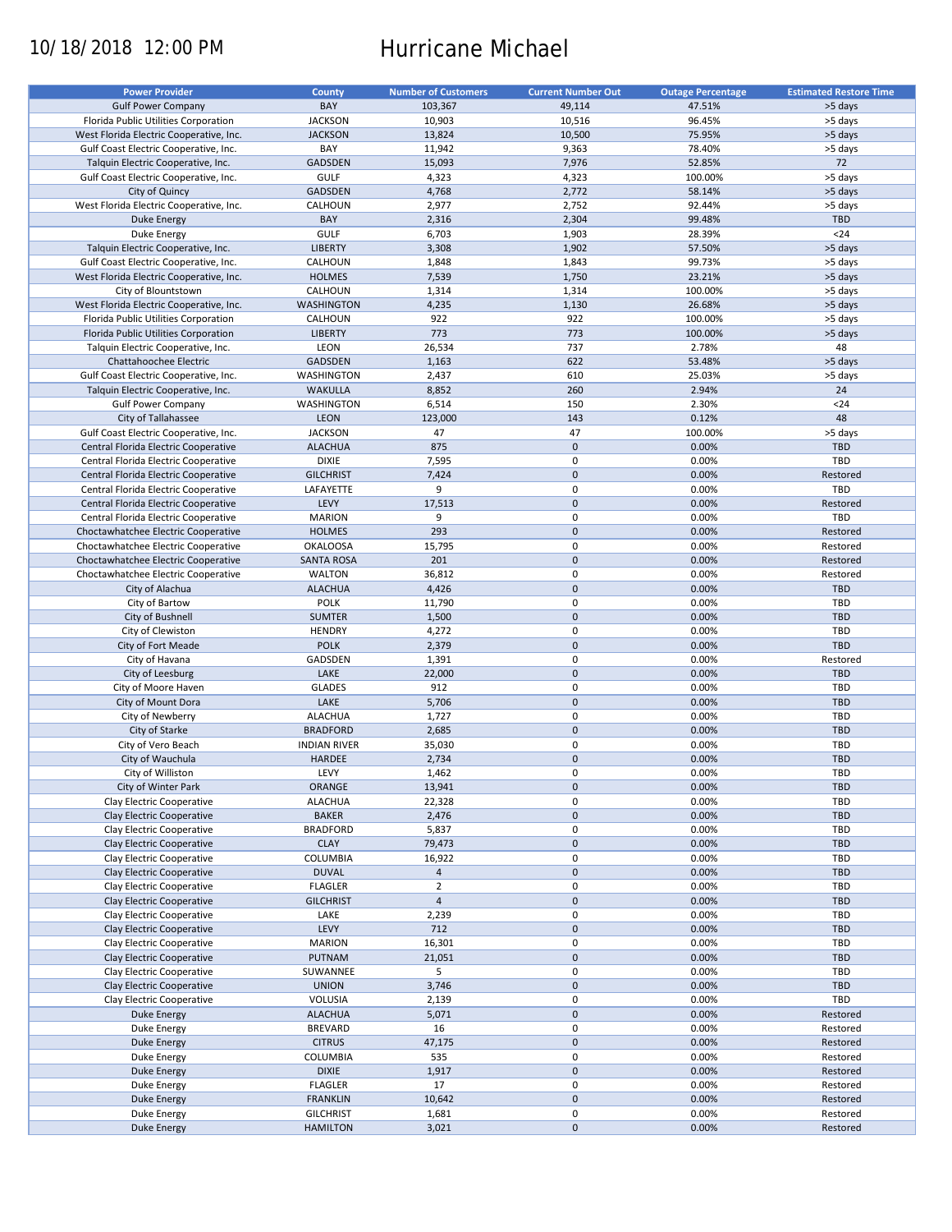# 10/18/2018 12:00 PM Hurricane Michael

| <b>Power Provider</b>                   | <b>County</b>       | <b>Number of Customers</b> | <b>Current Number Out</b> | <b>Outage Percentage</b> | <b>Estimated Restore Time</b> |
|-----------------------------------------|---------------------|----------------------------|---------------------------|--------------------------|-------------------------------|
| <b>Gulf Power Company</b>               | BAY                 | 103,367                    | 49,114                    | 47.51%                   | >5 days                       |
| Florida Public Utilities Corporation    | <b>JACKSON</b>      | 10,903                     | 10,516                    | 96.45%                   | >5 days                       |
| West Florida Electric Cooperative, Inc. | <b>JACKSON</b>      | 13,824                     | 10,500                    | 75.95%                   | >5 days                       |
|                                         |                     |                            |                           |                          |                               |
| Gulf Coast Electric Cooperative, Inc.   | BAY                 | 11,942                     | 9,363                     | 78.40%                   | >5 days                       |
| Talquin Electric Cooperative, Inc.      | <b>GADSDEN</b>      | 15,093                     | 7,976                     | 52.85%                   | 72                            |
| Gulf Coast Electric Cooperative, Inc.   | <b>GULF</b>         | 4,323                      | 4,323                     | 100.00%                  | >5 days                       |
| City of Quincy                          | <b>GADSDEN</b>      | 4,768                      | 2,772                     | 58.14%                   | >5 days                       |
| West Florida Electric Cooperative, Inc. | CALHOUN             | 2,977                      | 2,752                     | 92.44%                   | >5 days                       |
| <b>Duke Energy</b>                      | BAY                 | 2,316                      | 2,304                     | 99.48%                   | <b>TBD</b>                    |
| Duke Energy                             | GULF                | 6,703                      | 1,903                     | 28.39%                   | $24$                          |
| Talquin Electric Cooperative, Inc.      | <b>LIBERTY</b>      | 3,308                      | 1,902                     | 57.50%                   | >5 days                       |
| Gulf Coast Electric Cooperative, Inc.   | CALHOUN             | 1,848                      | 1,843                     | 99.73%                   | >5 days                       |
| West Florida Electric Cooperative, Inc. | <b>HOLMES</b>       | 7,539                      | 1,750                     | 23.21%                   | >5 days                       |
| City of Blountstown                     | CALHOUN             | 1,314                      | 1,314                     | 100.00%                  | >5 days                       |
| West Florida Electric Cooperative, Inc. | <b>WASHINGTON</b>   | 4,235                      | 1,130                     | 26.68%                   | >5 days                       |
| Florida Public Utilities Corporation    | CALHOUN             | 922                        | 922                       | 100.00%                  | >5 days                       |
| Florida Public Utilities Corporation    | <b>LIBERTY</b>      | 773                        | 773                       | 100.00%                  | >5 days                       |
| Talquin Electric Cooperative, Inc.      | LEON                | 26,534                     | 737                       | 2.78%                    | 48                            |
| Chattahoochee Electric                  | <b>GADSDEN</b>      | 1,163                      | 622                       | 53.48%                   | >5 days                       |
| Gulf Coast Electric Cooperative, Inc.   | <b>WASHINGTON</b>   | 2,437                      | 610                       | 25.03%                   | >5 days                       |
|                                         |                     |                            | 260                       | 2.94%                    | 24                            |
| Talquin Electric Cooperative, Inc.      | <b>WAKULLA</b>      | 8,852                      |                           |                          |                               |
| <b>Gulf Power Company</b>               | <b>WASHINGTON</b>   | 6,514                      | 150                       | 2.30%                    | $24$                          |
| City of Tallahassee                     | <b>LEON</b>         | 123,000                    | 143                       | 0.12%                    | 48                            |
| Gulf Coast Electric Cooperative, Inc.   | <b>JACKSON</b>      | 47                         | 47                        | 100.00%                  | >5 days                       |
| Central Florida Electric Cooperative    | <b>ALACHUA</b>      | 875                        | $\mathbf 0$               | 0.00%                    | <b>TBD</b>                    |
| Central Florida Electric Cooperative    | <b>DIXIE</b>        | 7,595                      | 0                         | 0.00%                    | TBD                           |
| Central Florida Electric Cooperative    | <b>GILCHRIST</b>    | 7,424                      | $\mathbf 0$               | 0.00%                    | Restored                      |
| Central Florida Electric Cooperative    | LAFAYETTE           | 9                          | 0                         | 0.00%                    | TBD                           |
| Central Florida Electric Cooperative    | LEVY                | 17,513                     | $\mathbf 0$               | 0.00%                    | Restored                      |
| Central Florida Electric Cooperative    | <b>MARION</b>       | 9                          | $\pmb{0}$                 | 0.00%                    | <b>TBD</b>                    |
| Choctawhatchee Electric Cooperative     | <b>HOLMES</b>       | 293                        | $\mathbf 0$               | 0.00%                    | Restored                      |
|                                         |                     |                            | $\pmb{0}$                 |                          | Restored                      |
| Choctawhatchee Electric Cooperative     | <b>OKALOOSA</b>     | 15,795                     |                           | 0.00%                    |                               |
| Choctawhatchee Electric Cooperative     | <b>SANTA ROSA</b>   | 201                        | $\mathbf 0$               | 0.00%                    | Restored                      |
| Choctawhatchee Electric Cooperative     | <b>WALTON</b>       | 36,812                     | 0                         | 0.00%                    | Restored                      |
| City of Alachua                         | <b>ALACHUA</b>      | 4,426                      | $\mathbf 0$               | 0.00%                    | <b>TBD</b>                    |
| City of Bartow                          | <b>POLK</b>         | 11,790                     | $\mathbf 0$               | 0.00%                    | <b>TBD</b>                    |
| City of Bushnell                        | <b>SUMTER</b>       | 1,500                      | $\mathbf 0$               | 0.00%                    | <b>TBD</b>                    |
| City of Clewiston                       | <b>HENDRY</b>       | 4,272                      | $\pmb{0}$                 | 0.00%                    | TBD                           |
| City of Fort Meade                      | <b>POLK</b>         | 2,379                      | $\mathbf 0$               | 0.00%                    | <b>TBD</b>                    |
| City of Havana                          | GADSDEN             | 1,391                      | $\pmb{0}$                 | 0.00%                    | Restored                      |
| City of Leesburg                        | LAKE                | 22,000                     | $\mathbf 0$               | 0.00%                    | <b>TBD</b>                    |
| City of Moore Haven                     | <b>GLADES</b>       | 912                        | 0                         | 0.00%                    | <b>TBD</b>                    |
| City of Mount Dora                      | LAKE                | 5,706                      | $\mathbf 0$               | 0.00%                    | <b>TBD</b>                    |
| City of Newberry                        | <b>ALACHUA</b>      | 1,727                      | 0                         | 0.00%                    | <b>TBD</b>                    |
|                                         |                     |                            |                           |                          |                               |
| City of Starke                          | <b>BRADFORD</b>     | 2,685                      | $\mathbf 0$               | 0.00%                    | <b>TBD</b>                    |
| City of Vero Beach                      | <b>INDIAN RIVER</b> | 35,030                     | 0                         | 0.00%                    | <b>TBD</b>                    |
| City of Wauchula                        | <b>HARDEE</b>       | 2,734                      | $\mathbf 0$               | 0.00%                    | <b>TBD</b>                    |
| City of Williston                       | LEVY                | 1,462                      | $\mathbf 0$               | 0.00%                    | TBD                           |
| City of Winter Park                     | ORANGE              | 13,941                     | $\pmb{0}$                 | 0.00%                    | <b>TBD</b>                    |
| Clay Electric Cooperative               | <b>ALACHUA</b>      | 22,328                     | 0                         | 0.00%                    | TBD                           |
| Clay Electric Cooperative               | <b>BAKER</b>        | 2,476                      | $\mathbf 0$               | 0.00%                    | TBD                           |
| Clay Electric Cooperative               | <b>BRADFORD</b>     | 5,837                      | 0                         | 0.00%                    | <b>TBD</b>                    |
| Clay Electric Cooperative               | <b>CLAY</b>         | 79,473                     | $\mathbf 0$               | 0.00%                    | <b>TBD</b>                    |
| Clay Electric Cooperative               | COLUMBIA            | 16,922                     | 0                         | 0.00%                    | <b>TBD</b>                    |
| Clay Electric Cooperative               | <b>DUVAL</b>        | $\overline{4}$             | $\mathbf 0$               | 0.00%                    | <b>TBD</b>                    |
| Clay Electric Cooperative               | <b>FLAGLER</b>      | $\overline{2}$             | $\pmb{0}$                 | 0.00%                    | <b>TBD</b>                    |
| Clay Electric Cooperative               | <b>GILCHRIST</b>    | $\overline{4}$             | $\pmb{0}$                 | 0.00%                    | <b>TBD</b>                    |
|                                         |                     |                            |                           | 0.00%                    |                               |
| Clay Electric Cooperative               | LAKE                | 2,239                      | 0                         |                          | TBD                           |
| Clay Electric Cooperative               | LEVY                | 712                        | $\pmb{0}$                 | 0.00%                    | <b>TBD</b>                    |
| Clay Electric Cooperative               | <b>MARION</b>       | 16,301                     | 0                         | 0.00%                    | <b>TBD</b>                    |
| Clay Electric Cooperative               | PUTNAM              | 21,051                     | $\pmb{0}$                 | 0.00%                    | <b>TBD</b>                    |
| Clay Electric Cooperative               | SUWANNEE            | 5                          | $\pmb{0}$                 | 0.00%                    | TBD                           |
| Clay Electric Cooperative               | <b>UNION</b>        | 3,746                      | $\pmb{0}$                 | 0.00%                    | TBD                           |
| Clay Electric Cooperative               | VOLUSIA             | 2,139                      | $\pmb{0}$                 | 0.00%                    | TBD                           |
| <b>Duke Energy</b>                      | <b>ALACHUA</b>      | 5,071                      | $\pmb{0}$                 | 0.00%                    | Restored                      |
| Duke Energy                             | <b>BREVARD</b>      | 16                         | $\pmb{0}$                 | 0.00%                    | Restored                      |
| Duke Energy                             | <b>CITRUS</b>       | 47,175                     | $\pmb{0}$                 | 0.00%                    | Restored                      |
| Duke Energy                             | COLUMBIA            | 535                        | $\pmb{0}$                 | 0.00%                    | Restored                      |
|                                         | <b>DIXIE</b>        |                            | $\pmb{0}$                 | 0.00%                    | Restored                      |
| <b>Duke Energy</b>                      |                     | 1,917                      |                           |                          |                               |
| Duke Energy                             | <b>FLAGLER</b>      | 17                         | 0                         | 0.00%                    | Restored                      |
| <b>Duke Energy</b>                      | <b>FRANKLIN</b>     | 10,642                     | $\pmb{0}$                 | 0.00%                    | Restored                      |
| Duke Energy                             | <b>GILCHRIST</b>    | 1,681                      | 0                         | 0.00%                    | Restored                      |
| <b>Duke Energy</b>                      | <b>HAMILTON</b>     | 3,021                      | $\pmb{0}$                 | 0.00%                    | Restored                      |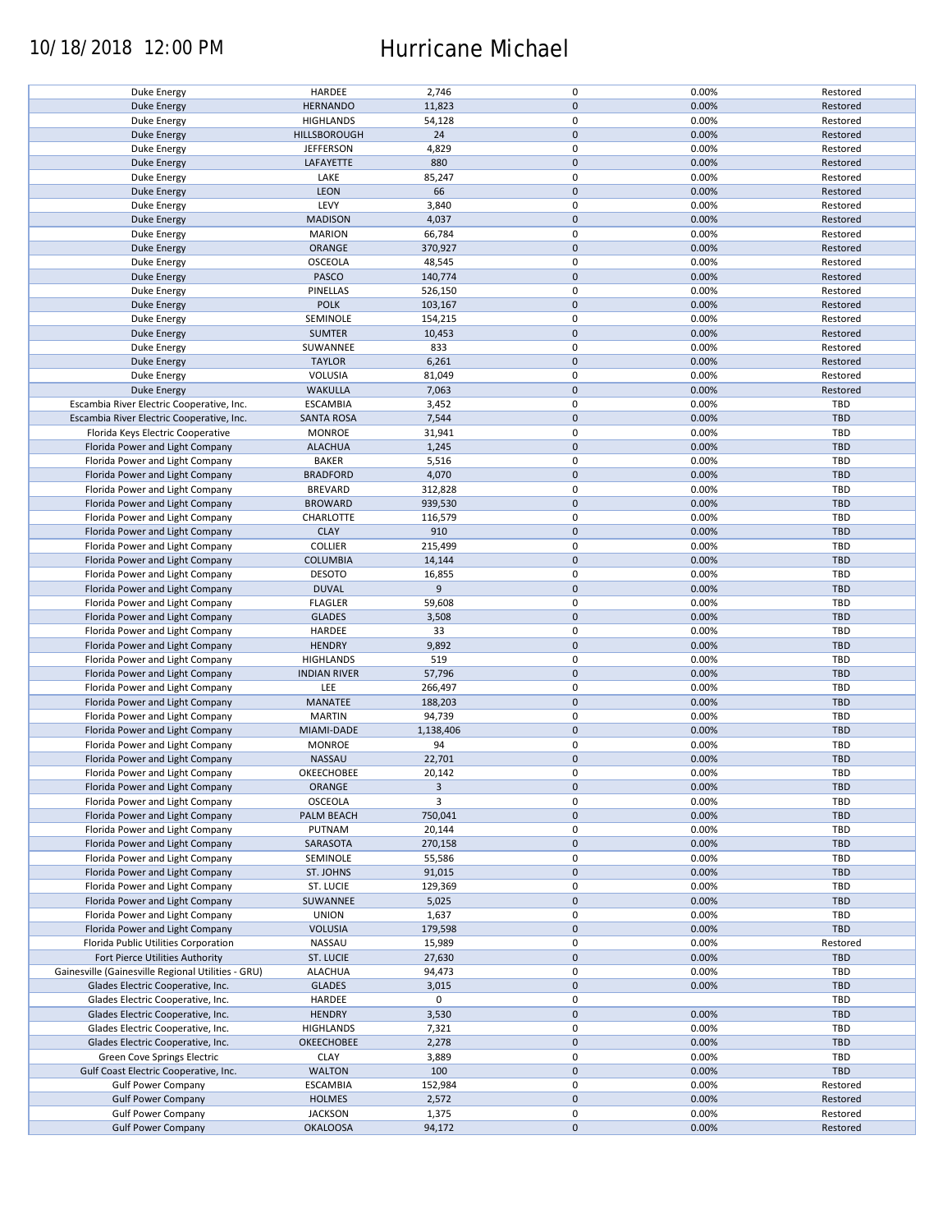### 10/18/2018 12:00 PM Hurricane Michael

| Duke Energy                                        | HARDEE              | 2,746          | 0                   | 0.00% | Restored   |
|----------------------------------------------------|---------------------|----------------|---------------------|-------|------------|
| <b>Duke Energy</b>                                 | <b>HERNANDO</b>     | 11,823         | $\mathbf 0$         | 0.00% | Restored   |
|                                                    |                     |                | 0                   |       |            |
| Duke Energy                                        | <b>HIGHLANDS</b>    | 54,128         |                     | 0.00% | Restored   |
| <b>Duke Energy</b>                                 | HILLSBOROUGH        | 24             | $\mathbf 0$         | 0.00% | Restored   |
| Duke Energy                                        | <b>JEFFERSON</b>    | 4,829          | 0                   | 0.00% | Restored   |
|                                                    |                     |                |                     |       |            |
| <b>Duke Energy</b>                                 | LAFAYETTE           | 880            | $\mathbf 0$         | 0.00% | Restored   |
| Duke Energy                                        | LAKE                | 85,247         | 0                   | 0.00% | Restored   |
|                                                    |                     |                |                     |       |            |
| <b>Duke Energy</b>                                 | LEON                | 66             | $\mathbf 0$         | 0.00% | Restored   |
| Duke Energy                                        | LEVY                | 3,840          | 0                   | 0.00% | Restored   |
|                                                    | <b>MADISON</b>      | 4,037          | $\mathbf 0$         | 0.00% | Restored   |
| Duke Energy                                        |                     |                |                     |       |            |
| Duke Energy                                        | <b>MARION</b>       | 66,784         | 0                   | 0.00% | Restored   |
| <b>Duke Energy</b>                                 | ORANGE              | 370,927        | $\mathbf 0$         | 0.00% | Restored   |
|                                                    |                     |                |                     |       |            |
| Duke Energy                                        | <b>OSCEOLA</b>      | 48,545         | 0                   | 0.00% | Restored   |
| <b>Duke Energy</b>                                 | PASCO               | 140,774        | $\mathbf 0$         | 0.00% | Restored   |
|                                                    |                     |                |                     |       |            |
| Duke Energy                                        | PINELLAS            | 526,150        | 0                   | 0.00% | Restored   |
| <b>Duke Energy</b>                                 | <b>POLK</b>         | 103,167        | $\mathbf 0$         | 0.00% | Restored   |
| Duke Energy                                        | SEMINOLE            | 154,215        | 0                   | 0.00% | Restored   |
|                                                    |                     |                |                     |       |            |
| <b>Duke Energy</b>                                 | <b>SUMTER</b>       | 10,453         | $\pmb{0}$           | 0.00% | Restored   |
| Duke Energy                                        | SUWANNEE            | 833            | 0                   | 0.00% | Restored   |
|                                                    |                     |                |                     |       |            |
| <b>Duke Energy</b>                                 | <b>TAYLOR</b>       | 6,261          | $\pmb{0}$           | 0.00% | Restored   |
| Duke Energy                                        | VOLUSIA             | 81,049         | $\pmb{0}$           | 0.00% | Restored   |
|                                                    |                     |                | $\pmb{0}$           |       |            |
| <b>Duke Energy</b>                                 | <b>WAKULLA</b>      | 7,063          |                     | 0.00% | Restored   |
| Escambia River Electric Cooperative, Inc.          | <b>ESCAMBIA</b>     | 3,452          | $\pmb{0}$           | 0.00% | TBD        |
| Escambia River Electric Cooperative, Inc.          | <b>SANTA ROSA</b>   | 7,544          | $\pmb{0}$           | 0.00% | <b>TBD</b> |
|                                                    |                     |                |                     |       |            |
| Florida Keys Electric Cooperative                  | <b>MONROE</b>       | 31,941         | 0                   | 0.00% | TBD        |
| Florida Power and Light Company                    | <b>ALACHUA</b>      | 1,245          | $\mathbf 0$         | 0.00% | <b>TBD</b> |
|                                                    |                     |                |                     |       |            |
| Florida Power and Light Company                    | <b>BAKER</b>        | 5,516          | 0                   | 0.00% | <b>TBD</b> |
| Florida Power and Light Company                    | <b>BRADFORD</b>     | 4,070          | $\mathbf 0$         | 0.00% | <b>TBD</b> |
|                                                    |                     |                |                     |       |            |
| Florida Power and Light Company                    | <b>BREVARD</b>      | 312,828        | 0                   | 0.00% | <b>TBD</b> |
| Florida Power and Light Company                    | <b>BROWARD</b>      | 939,530        | $\pmb{0}$           | 0.00% | <b>TBD</b> |
| Florida Power and Light Company                    | CHARLOTTE           | 116,579        | 0                   | 0.00% | TBD        |
|                                                    |                     |                |                     |       |            |
| Florida Power and Light Company                    | <b>CLAY</b>         | 910            | $\pmb{0}$           | 0.00% | <b>TBD</b> |
| Florida Power and Light Company                    | <b>COLLIER</b>      | 215,499        | 0                   | 0.00% | TBD        |
|                                                    |                     |                |                     |       |            |
| Florida Power and Light Company                    | <b>COLUMBIA</b>     | 14,144         | $\pmb{0}$           | 0.00% | <b>TBD</b> |
| Florida Power and Light Company                    | <b>DESOTO</b>       | 16,855         | 0                   | 0.00% | TBD        |
|                                                    |                     |                |                     |       |            |
| Florida Power and Light Company                    | <b>DUVAL</b>        | 9              | $\pmb{0}$           | 0.00% | <b>TBD</b> |
| Florida Power and Light Company                    | <b>FLAGLER</b>      | 59,608         | 0                   | 0.00% | TBD        |
|                                                    |                     |                | $\mathbf 0$         |       |            |
| Florida Power and Light Company                    | <b>GLADES</b>       | 3,508          |                     | 0.00% | <b>TBD</b> |
| Florida Power and Light Company                    | HARDEE              | 33             | 0                   | 0.00% | TBD        |
| Florida Power and Light Company                    | <b>HENDRY</b>       | 9,892          | $\mathbf 0$         | 0.00% | <b>TBD</b> |
|                                                    |                     |                |                     |       |            |
| Florida Power and Light Company                    | <b>HIGHLANDS</b>    | 519            | 0                   | 0.00% | TBD        |
| Florida Power and Light Company                    | <b>INDIAN RIVER</b> | 57,796         | $\mathbf 0$         | 0.00% | <b>TBD</b> |
|                                                    |                     |                |                     |       |            |
| Florida Power and Light Company                    | LEE                 | 266,497        | 0                   | 0.00% | TBD        |
| Florida Power and Light Company                    | MANATEE             | 188,203        | $\pmb{0}$           | 0.00% | <b>TBD</b> |
|                                                    |                     |                |                     |       |            |
| Florida Power and Light Company                    | <b>MARTIN</b>       | 94,739         | $\pmb{0}$           | 0.00% | TBD        |
| Florida Power and Light Company                    | MIAMI-DADE          | 1,138,406      | $\mathbf 0$         | 0.00% | <b>TBD</b> |
| Florida Power and Light Company                    | <b>MONROE</b>       | 94             | $\pmb{0}$           | 0.00% | TBD        |
|                                                    |                     |                |                     |       |            |
| Florida Power and Light Company                    | <b>NASSAU</b>       | 22,701         | $\mathbf 0$         | 0.00% | <b>TBD</b> |
| Florida Power and Light Company                    | OKEECHOBEE          | 20,142         | 0                   | 0.00% | TBD        |
|                                                    |                     |                |                     |       |            |
| Florida Power and Light Company                    | ORANGE              | $\overline{3}$ | $\pmb{0}$           | 0.00% | <b>TBD</b> |
| Florida Power and Light Company                    | OSCEOLA             | 3              | 0                   | 0.00% | <b>TBD</b> |
|                                                    |                     |                |                     |       |            |
| Florida Power and Light Company                    | PALM BEACH          | 750,041        | $\mathbf 0$         | 0.00% | <b>TBD</b> |
| Florida Power and Light Company                    | PUTNAM              | 20,144         | 0                   | 0.00% | TBD        |
| Florida Power and Light Company                    | SARASOTA            | 270,158        | $\pmb{0}$           | 0.00% | <b>TBD</b> |
|                                                    |                     |                |                     |       |            |
| Florida Power and Light Company                    | SEMINOLE            | 55,586         | 0                   | 0.00% | TBD        |
| Florida Power and Light Company                    | ST. JOHNS           | 91,015         | $\pmb{0}$           | 0.00% | <b>TBD</b> |
|                                                    |                     |                |                     |       |            |
| Florida Power and Light Company                    | ST. LUCIE           | 129,369        | 0                   | 0.00% | TBD        |
| Florida Power and Light Company                    | SUWANNEE            | 5,025          | $\pmb{0}$           | 0.00% | <b>TBD</b> |
|                                                    | <b>UNION</b>        |                | 0                   |       | TBD        |
| Florida Power and Light Company                    |                     | 1,637          |                     | 0.00% |            |
| Florida Power and Light Company                    | <b>VOLUSIA</b>      | 179,598        | $\mathsf{O}\xspace$ | 0.00% | TBD        |
| Florida Public Utilities Corporation               | NASSAU              | 15,989         | 0                   | 0.00% | Restored   |
|                                                    |                     |                |                     |       |            |
| Fort Pierce Utilities Authority                    | ST. LUCIE           | 27,630         | $\mathsf{O}\xspace$ | 0.00% | <b>TBD</b> |
| Gainesville (Gainesville Regional Utilities - GRU) | <b>ALACHUA</b>      | 94,473         | 0                   | 0.00% | TBD        |
|                                                    |                     |                |                     |       |            |
| Glades Electric Cooperative, Inc.                  | <b>GLADES</b>       | 3,015          | $\mathsf{O}\xspace$ | 0.00% | <b>TBD</b> |
| Glades Electric Cooperative, Inc.                  | HARDEE              | 0              | 0                   |       | TBD        |
|                                                    |                     |                | $\pmb{0}$           |       | <b>TBD</b> |
| Glades Electric Cooperative, Inc.                  | <b>HENDRY</b>       | 3,530          |                     | 0.00% |            |
| Glades Electric Cooperative, Inc.                  | <b>HIGHLANDS</b>    | 7,321          | 0                   | 0.00% | TBD        |
| Glades Electric Cooperative, Inc.                  | OKEECHOBEE          | 2,278          | $\pmb{0}$           | 0.00% | <b>TBD</b> |
|                                                    |                     |                |                     |       |            |
| Green Cove Springs Electric                        | <b>CLAY</b>         | 3,889          | 0                   | 0.00% | TBD        |
| Gulf Coast Electric Cooperative, Inc.              | <b>WALTON</b>       | 100            | $\pmb{0}$           | 0.00% | <b>TBD</b> |
|                                                    |                     |                |                     |       |            |
| <b>Gulf Power Company</b>                          | <b>ESCAMBIA</b>     | 152,984        | 0                   | 0.00% | Restored   |
| <b>Gulf Power Company</b>                          | <b>HOLMES</b>       | 2,572          | $\mathbf 0$         | 0.00% | Restored   |
|                                                    |                     |                |                     |       |            |
| <b>Gulf Power Company</b>                          | <b>JACKSON</b>      | 1,375          | 0                   | 0.00% | Restored   |
| <b>Gulf Power Company</b>                          | <b>OKALOOSA</b>     | 94,172         | $\mathbf 0$         | 0.00% | Restored   |
|                                                    |                     |                |                     |       |            |